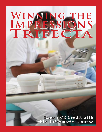# WINNING THE<br>IMPRESSIONS<br>TRIFECTA

Earn 1 CE Credit with this informative course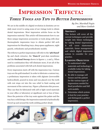# **IMPRESSION TRIFECTA: THREE TOOLS AND TIPS TO BETTER IMPRESSIONS**

We are in the middle of a digital revolution in dentistry yet we daily must revert to using some of our vintage tools to obtain dental impressions. Most impression articles focus on the impression material. This article will demonstrate how to use three unique impression accessories or tools along with clear thermoplastic impression trays to obtain perfect full arch impressions for bleaching trays, sleep apnea appliances, night guards, orthodontic and prosthodontic models.

The trifecta to perfect impressions will refer to the '5th Hand' lip and cheek retractor, the 'Dam-it' post-dam membrane and the **Occlusal Sweep** shown in figures 1, 2 and 3. When used in combination they will eliminate most, if not all of the problems associated with full arch dental impressions.

Every impression starts off with the impression tray. Custom trays are the gold standard. In order to fabricate a custom tray, a preliminary impression is taken with alginate (irreversible hydrocolloid), poured in stone and wax placed over the teeth with rest stops cut into the wax relief to limit seating and movement of the custom tray. Figure 4 illustrates this process. They can then be fabricated with self or light cured materials in your office or laboratory at significant cost or loss of time. Since the posterior of the tray seats against the palate and the tray has a solid design, the impression material is hydraulically forced up and around the teeth vielding perfect detail.

**By Drs. Marshall Fagin** and Marc Gottlieb

### **ABSTRACT**

This lecture will cover all the current techniques and provide insight into future techniques for taking dental impressions. will cover elastormeric  $It$ materials, tissue management, and which digital impression system to consider for your practice.

### **LEARNING OBJECTIVES**

- 1. To understand what materials and technology is available today for taking dental impressions.
- 2. Be able to manage soft tissues and the patient for the various types of impressions needed for fixed prosthetics and full arch models.
- 3. Determine which system is best for your practice and distinguish a perfect impression.



Figure 1



Figure 2



Figure 3

Figure 4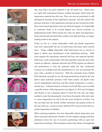

Figure 5



Figure 6



Figure 7



Figure 8



Figure 9



Figure 10



Figure 11

One step below the gold standard is the all metal tray. Metal trays are rigid with mechanical features welded internally which locks the impression material into the tray. They can also be perforated to add mechanical retention of the impression material, but this reduces the pressure and flow of the impression material up and around the teeth. Since most metal impression trays are solid and opaque, it is impossible to customize them to fit around lingual tori, buccal exostosis, or malpositioned teeth. When brand new, they are shiny and impressive. Once cleaned and autoclaved they oxidize, turn dark and stain, no longer looking sterile to the patient.

Today we live in a clean, disposable world and plastic impression trays have superseded the use of metal trays and many times custom trays. Using a **clear** disposable solid impression tray as shown in figure 5, allows easy visualization of the underlying anatomy. Solid trays support the impression material and force the material apically. Solid trays work exceptionally well with polyether materials and rarely require an adhesive. Alginate and polyvinyl (PVS) requires an adhesive and perforations to lock the material inside the tray. Perforated versions are available from the manufacturer or you can perforate the trays with a number 8 round bur. With the extremely heavy bodied PVS materials currently in use, the large perforations found in the tray allows some hydraulic pressure relief when seated. All plastic trays can be manipulated with heat, just like dental compound, to create a custom tray. A Bunsen burner or butane torch will allow you to modify a specific section of the impression tray (figure 6). Wet your forefinger and thumb or use a Sargeant pliers to bend the tray into any shape needed to clear the abnormality. Cool down the plastic with cold water or room temperature air and it has the same hardness as before. Try the tray back into the mouth, further customize the palatal section of the tray with wax, acrylic or heavy stiff bite PVS and your first step to a perfect impression is finished.

When restoring implants, the clear disposable plastic impression tray allows precision placement of holes over the implant copings and their abutment screws for ease of accurate positioning with an open tray impression technique. This technique reduces the chance of misplacing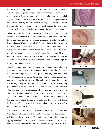the transfer copings back into the impression. It also eliminates distortion of the impression upon removal and makes it easier to remove the impression from the mouth when the implants are not parallel. Figure 7 demonstrates the marking of the holes and the placement of the holes to allow try- in of the impression tray. Once the tray is seated the excess impression material is swept away to expose the screw heads. The exposed screws and final impression are shown in figures 8 and 9.

When using metal or plastic impression trays, the next step is to close off the back of the tray. All classes of impression materials at first flow like a liquid that gels into a solid state. Liquids will follow the path of least resistance. Upon seating a loaded impression tray into the mouth, the path of least resistance is the soft palate and the material tends to run or drip down the patient's throat. In an effort to slow down this cascade of material, many doctors will use a bead of wax. Figure 10 demonstrates an impression tray with a wax post dam and palatal stop. This rim of wax creates a speed bump which rarely adequately stops the flow of impression material.

Dam-it post dam membrane is a microporous membrane designed to form a fence, redirecting impression material up into the labial fold and hamular notch (figure 11). It's been proven clinically to be compatible with all impression materials. Simply place a strip of Dam-it membrane across the posterior of any tray. The weight of the material prevents it from imploding until seated. It's the same analogy to a swimming pool. Once filled with water the walls remain upright until emptied. Dam-it's microporous design ensures that it becomes incorporated into alginate, polyether and polyvinyl impression materials. Figures 12 and 13 illustrate the outstanding detail of the tuberosity region along with the hamular notch. It eliminates the pulls and drags frequently found in this area of an impression and helps to better capture the distal of second and third molars.

Prior to taking an impression with any material, have the patient brush their teeth and rinse out their mouth. This removes the chance of debris remaining on the teeth. Once settled back in the chair, insert an appropriately sized '5th Hand' lip and cheek retractor (figure 14). This simple device provides better access to the oral cavity and at the same



Figure 12



Figure 13



Figure 14



Figure 15



Figure 16



Figure 17

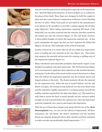

Figure 18



Figure 19



Figure 20



Figure 21



Figure 22



Figure 23

time prevents the patient from catching their upper lip on the impression tray. Bend the flaps in the posterior, as shown in figure 15, to conform to the plane of the cheek. These flaps were designed to hold Dry Angles in place and also cause ischemic compression of Stensen's Ducts blocking the flow of saliva. White foam pads are provided by the manufacturer to be placed on the periphery to provide a cushion against the alveolar ridge (figure16). When taking impressions requiring full detail of the labial fold, you can place material onto the retractor and then sandwich the loaded tray onto the retractor (figure 17). The '5th Hand' retractor is them pulled straight out before the impression material sets. At this point manipulate the upper lip and you have captured the labial fold (figures 18 and 19). This technique works with all materials.

Another clinical tip is to create sides on all your triple tray impressions prior to loading the tray material on the tray (figure 20). This minor step supports the material and prevents the running or pulling away of the impression material (figure 21).

Many orthodontic and removable prosthetic impressions require a very detailed monophasic polyvinyl impression. The Occlusal Sweep (figure 22) is an inexpensive applicator that is placed over the standard dynamic mixing tip. Cut the sides of the nozzle on the sweep to form leaves or flaps that will redirect the impression material over the occlusal, buccal and lingual surfaces of the teeth. The dental assistant will mix the material for the impression tray. When the tray is loaded halfway and the '5th Hand' is in place, the occlusal sweep is placed over the most distal tooth and the material is rapidly expressed in a sweeping motion towards the midline and then repeated for the other side (figure 23). The loaded tray with Dam-it across the back is seated apically and the retractor pulled straight out and removed before the material sets. Once the impression material completely sets, remove and inspect the impression.

With the use of these three simple tools along with the use of the clear **thermoplastic** tray, you can win the trifecta of impressions. All three accessories, the '5th Hand', the Dam-it membrane and the Occlusal Sweep are uniquely designed tools to allow dentists and their assistants to make accurate and predictable dental impressions. [End]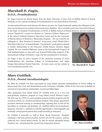### **Marshall D. Fagin,** D.D.S., Prosthodontist

Dr. Fagin received his dental degree from the State University of New York at Buffalo School of Dental Medicine in 1970 and his Certificate in Prosthodontics in 1972 from Boston University.

An international lecturer and educator for almost 35 years, Dr. Fagin frequently updates his colleagues on the most recent advances in cosmetic and reconstructive dentistry. He is currently a part-time Associate Professor in the Dept. of Graduate Prosthodontics at SUNY at Buffalo School of Dental Medicine and has conducted

several "Hands-On" courses for dentists on "Anterior Esthetic Makeovers" at the school's Esthetic Dentistry Education Center and for the University of Florida School of Dentistry's Mastership Program. He was voted by his colleagues to "Best Dentists in America" 2004/2005, 2008 "Global Who's Who Man of the Year" in Dental Health, "Top Dentists" 2008 and was elected to faculty membership in the Honorary Dental Society Omicron Kappa Upsilon. He was awarded Diplomat status in the International Congress of Oral Implantologists in 1994 and is an honored Fellowship recipient of the International College of Dentists (1993) for his contributions to Dentistry.

Dr. Fagin is also an active member of the American Academy of Fixed Prosthodontics, the American College of Prosthodontists, and Alpha Omega International Dental Fraternity. To learn more, see his website at www.transformyoursmile.com.



Dr. Marshall D. Fagin

## **Marc Gottlieb,** D.D.S., Dental Anesthesiologist

Dr. Marc M. Gottlieb was born and raised on Long Island, attended undergraduate at Union College in Schenectady New York and Dental School at the University of Buffalo. While at the University of Buffalo he received several academic scholarships, awards and fellowships.

After graduation from dental school Dr. Gottlieb went on to a two year post-graduate residency program at Long Island Jewish Medical Center. The first year as a PGY1 in a post graduate general practice program and the second as a PGY2 as a medical anesthesia resident. This unique opportunity provided advanced training in anesthesiology exposing him to and all the specialties of medicine and dentistry. Dr. Gottlieb utilizes local anesthesia, hypnosis, oral and i.v. sedation to treat the apprehensive, unmanageable and medically compromised patient that would normally go untreated.

Dr. Gottlieb is currently on staff at Stony Brook University Hospital, maintains a full time private practice, lectures all over the country and has authored over a dozen dental articles. In 1987 he started Affordable Dental Products, Inc., and patented the Crystal Tray Impression System.



**Dr. Marc Gottlieb**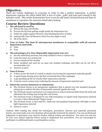### **Objective:**

There are certain challenges to overcome in order to take a perfect impression. A perfect impression captures the entire labial fold, is free of voids, pulls, and tears and extends to the hamular notch. This article demonstrates how to use the 5th hand, Occlusal Sweep and Dam it! membrane to reproduce the anatomic detail often lacking.

# **Course Review Ouestions**

### 1. The 5th hand is used to:

- a) Retract the Lips and Cheeks
- b) Prevent the lip from getting caught inside the impression tray
- c) Holds dry angles against Stensen's duct blocking the flow of saliva
- d) Ischemically close off Stensen's Duct if no dry angle is used
- e) All of the above
- 2. True or False. The Dam it! microporous membrane is compatible with all current impression materials.
	- a) False
	- b) True

### The advantages of a clear disposable impression tray are: 3.

- See the underlying anatomy and easily molded to form a custom tray a)
- b) Costs the same as a custom trav
- c) Can be autoclaved for sterility
- d) Easily modified and used for an open tray implant technique and sides can be cut off to accommodate tori
- e) Answers a and d

### 4. Dam-it forms:

- a) A fence across the back of a metal or plastic tray forcing the impression material apically
- b) A speed bump slowing down the flow of material down the esophagus
- c) A gel speeding up the set of poly-ether impression material
- d) A barrier across custom trays reducing the amount of impression material used

### Select the correct statement or statements: 5.

- The Occlusal Sweep is an inexpensive applicator that is placed over the standard dynamic a) mixing tip to redirect the flow of impression material against the teeth
- b) The Occlusal sweep is used prior to an impression to remove food and debri from the teeth and eliminates the rinsing step saving time and money
- The Occlusal sweep is designed for use with monophase or regular body impression material  $c)$ to create a three dimensional "finger sweep"
- The Occlusal sweep is best used for triple tray and quadrant impressions with light or extra d) light impression material
- e) Answers a and c

Caution: After reading this article the techniques, procedures, theories and materials presented herein, you must make your own decisions about specific treatment for patients. Use your professional judgement to determine your need for further clinical testing and education.. You must use and rely on your own clinical expertise before trying to implement new procedures. You are encouraged to participate in additional hands on participation courses.